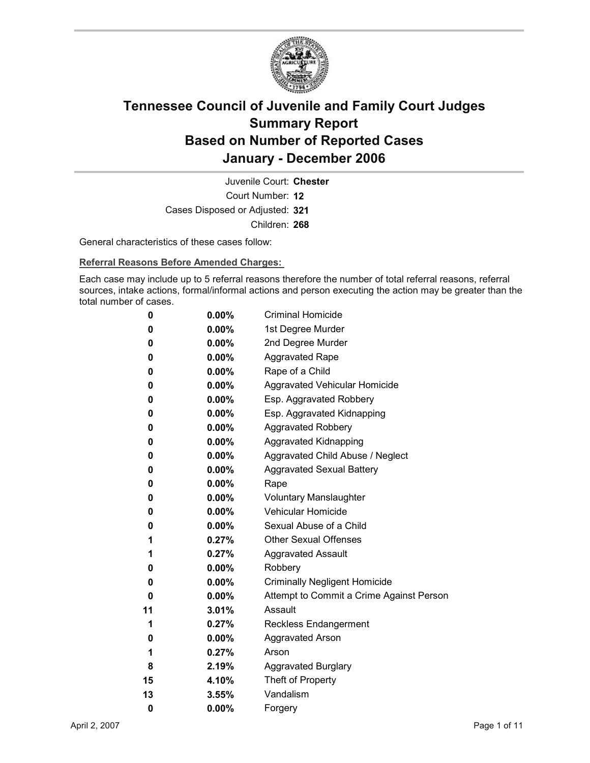

Court Number: **12** Juvenile Court: **Chester** Cases Disposed or Adjusted: **321** Children: **268**

General characteristics of these cases follow:

**Referral Reasons Before Amended Charges:** 

Each case may include up to 5 referral reasons therefore the number of total referral reasons, referral sources, intake actions, formal/informal actions and person executing the action may be greater than the total number of cases.

| 0  | $0.00\%$ | <b>Criminal Homicide</b>                 |
|----|----------|------------------------------------------|
| 0  | $0.00\%$ | 1st Degree Murder                        |
| 0  | $0.00\%$ | 2nd Degree Murder                        |
| 0  | $0.00\%$ | <b>Aggravated Rape</b>                   |
| 0  | $0.00\%$ | Rape of a Child                          |
| 0  | $0.00\%$ | Aggravated Vehicular Homicide            |
| 0  | $0.00\%$ | Esp. Aggravated Robbery                  |
| 0  | $0.00\%$ | Esp. Aggravated Kidnapping               |
| 0  | $0.00\%$ | <b>Aggravated Robbery</b>                |
| 0  | $0.00\%$ | <b>Aggravated Kidnapping</b>             |
| 0  | $0.00\%$ | Aggravated Child Abuse / Neglect         |
| 0  | $0.00\%$ | <b>Aggravated Sexual Battery</b>         |
| 0  | $0.00\%$ | Rape                                     |
| 0  | $0.00\%$ | <b>Voluntary Manslaughter</b>            |
| 0  | $0.00\%$ | <b>Vehicular Homicide</b>                |
| 0  | $0.00\%$ | Sexual Abuse of a Child                  |
| 1  | 0.27%    | <b>Other Sexual Offenses</b>             |
| 1  | $0.27\%$ | <b>Aggravated Assault</b>                |
| 0  | $0.00\%$ | Robbery                                  |
| 0  | $0.00\%$ | <b>Criminally Negligent Homicide</b>     |
| 0  | $0.00\%$ | Attempt to Commit a Crime Against Person |
| 11 | 3.01%    | Assault                                  |
| 1  | 0.27%    | <b>Reckless Endangerment</b>             |
| 0  | $0.00\%$ | <b>Aggravated Arson</b>                  |
| 1  | 0.27%    | Arson                                    |
| 8  | 2.19%    | <b>Aggravated Burglary</b>               |
| 15 | 4.10%    | Theft of Property                        |
| 13 | 3.55%    | Vandalism                                |
| 0  | 0.00%    | Forgery                                  |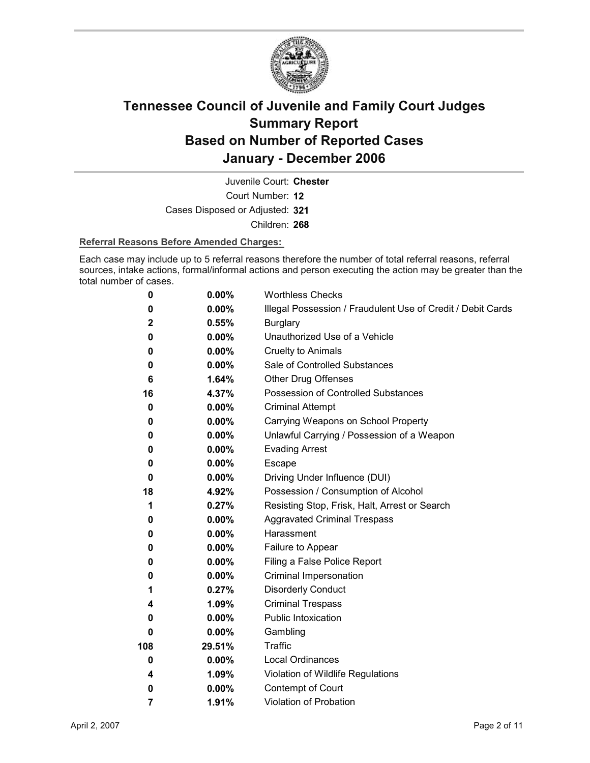

Juvenile Court: **Chester**

Court Number: **12**

Cases Disposed or Adjusted: **321**

Children: **268**

#### **Referral Reasons Before Amended Charges:**

Each case may include up to 5 referral reasons therefore the number of total referral reasons, referral sources, intake actions, formal/informal actions and person executing the action may be greater than the total number of cases.

| 0              | 0.00%    | <b>Worthless Checks</b>                                     |
|----------------|----------|-------------------------------------------------------------|
| 0              | 0.00%    | Illegal Possession / Fraudulent Use of Credit / Debit Cards |
| $\mathbf{2}$   | 0.55%    | <b>Burglary</b>                                             |
| 0              | $0.00\%$ | Unauthorized Use of a Vehicle                               |
| 0              | $0.00\%$ | <b>Cruelty to Animals</b>                                   |
| 0              | $0.00\%$ | Sale of Controlled Substances                               |
| 6              | 1.64%    | <b>Other Drug Offenses</b>                                  |
| 16             | 4.37%    | Possession of Controlled Substances                         |
| 0              | $0.00\%$ | <b>Criminal Attempt</b>                                     |
| 0              | $0.00\%$ | Carrying Weapons on School Property                         |
| 0              | $0.00\%$ | Unlawful Carrying / Possession of a Weapon                  |
| 0              | $0.00\%$ | <b>Evading Arrest</b>                                       |
| 0              | $0.00\%$ | Escape                                                      |
| 0              | $0.00\%$ | Driving Under Influence (DUI)                               |
| 18             | 4.92%    | Possession / Consumption of Alcohol                         |
| 1              | 0.27%    | Resisting Stop, Frisk, Halt, Arrest or Search               |
| 0              | $0.00\%$ | <b>Aggravated Criminal Trespass</b>                         |
| 0              | $0.00\%$ | Harassment                                                  |
| 0              | 0.00%    | Failure to Appear                                           |
| 0              | $0.00\%$ | Filing a False Police Report                                |
| 0              | $0.00\%$ | Criminal Impersonation                                      |
| 1              | 0.27%    | <b>Disorderly Conduct</b>                                   |
| 4              | 1.09%    | <b>Criminal Trespass</b>                                    |
| 0              | $0.00\%$ | <b>Public Intoxication</b>                                  |
| 0              | $0.00\%$ | Gambling                                                    |
| 108            | 29.51%   | Traffic                                                     |
| $\bf{0}$       | $0.00\%$ | <b>Local Ordinances</b>                                     |
| 4              | 1.09%    | Violation of Wildlife Regulations                           |
| 0              | $0.00\%$ | Contempt of Court                                           |
| $\overline{7}$ | 1.91%    | <b>Violation of Probation</b>                               |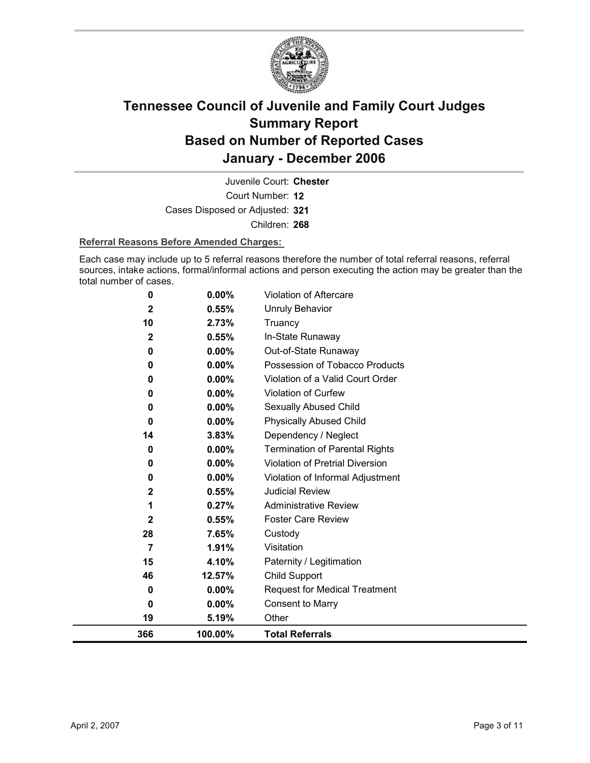

Court Number: **12** Juvenile Court: **Chester** Cases Disposed or Adjusted: **321** Children: **268**

#### **Referral Reasons Before Amended Charges:**

Each case may include up to 5 referral reasons therefore the number of total referral reasons, referral sources, intake actions, formal/informal actions and person executing the action may be greater than the total number of cases.

| 366                | 100.00%        | <b>Total Referrals</b>                |
|--------------------|----------------|---------------------------------------|
| 19                 | 5.19%          | Other                                 |
| 0                  | $0.00\%$       | <b>Consent to Marry</b>               |
| 0                  | 0.00%          | <b>Request for Medical Treatment</b>  |
| 46                 | 12.57%         | Child Support                         |
| 15                 | 4.10%          | Paternity / Legitimation              |
| $\overline{7}$     | 1.91%          | Visitation                            |
| 28                 | 7.65%          | Custody                               |
| $\mathbf{2}$       | 0.55%          | <b>Foster Care Review</b>             |
| 1                  | 0.27%          | <b>Administrative Review</b>          |
| $\mathbf 2$        | 0.55%          | <b>Judicial Review</b>                |
| 0                  | 0.00%          | Violation of Informal Adjustment      |
| 0                  | 0.00%          | Violation of Pretrial Diversion       |
| 0                  | 0.00%          | <b>Termination of Parental Rights</b> |
| 14                 | 3.83%          | Dependency / Neglect                  |
| $\bf{0}$           | $0.00\%$       | <b>Physically Abused Child</b>        |
| 0                  | 0.00%          | Sexually Abused Child                 |
| 0                  | 0.00%          | <b>Violation of Curfew</b>            |
| 0                  | $0.00\%$       | Violation of a Valid Court Order      |
| $\bf{0}$           | $0.00\%$       | Possession of Tobacco Products        |
| 0                  | $0.00\%$       | Out-of-State Runaway                  |
| 10<br>$\mathbf{2}$ | 2.73%<br>0.55% | Truancy<br>In-State Runaway           |
| 2                  | 0.55%          | <b>Unruly Behavior</b>                |
| 0                  | 0.00%          | <b>Violation of Aftercare</b>         |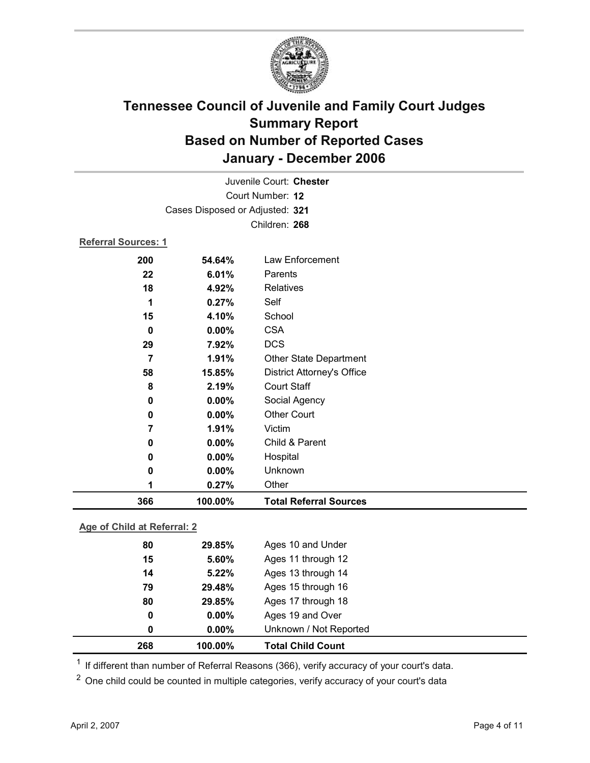

| 366                        | 100.00%                         | <b>Total Referral Sources</b>     |  |  |  |
|----------------------------|---------------------------------|-----------------------------------|--|--|--|
| 1                          | 0.27%                           | Other                             |  |  |  |
| 0                          | $0.00\%$                        | Unknown                           |  |  |  |
| 0                          | 0.00%                           | Hospital                          |  |  |  |
| 0                          | 0.00%                           | Child & Parent                    |  |  |  |
| 7                          | 1.91%                           | Victim                            |  |  |  |
| 0                          | 0.00%                           | <b>Other Court</b>                |  |  |  |
| 0                          | 0.00%                           | Social Agency                     |  |  |  |
| 8                          | 2.19%                           | <b>Court Staff</b>                |  |  |  |
| 58                         | 15.85%                          | <b>District Attorney's Office</b> |  |  |  |
| 7                          | 1.91%                           | Other State Department            |  |  |  |
| 29                         | 7.92%                           | <b>DCS</b>                        |  |  |  |
| $\bf{0}$                   | $0.00\%$                        | <b>CSA</b>                        |  |  |  |
| 15                         | 4.10%                           | School                            |  |  |  |
| 1                          | 0.27%                           | Self                              |  |  |  |
| 18                         | 4.92%                           | Relatives                         |  |  |  |
| 22                         | 6.01%                           | Parents                           |  |  |  |
| 200                        | 54.64%                          | Law Enforcement                   |  |  |  |
| <b>Referral Sources: 1</b> |                                 |                                   |  |  |  |
|                            | Children: 268                   |                                   |  |  |  |
|                            |                                 |                                   |  |  |  |
|                            | Cases Disposed or Adjusted: 321 |                                   |  |  |  |
|                            | Court Number: 12                |                                   |  |  |  |
|                            |                                 | Juvenile Court: Chester           |  |  |  |

#### **Age of Child at Referral: 2**

| 0<br>0 | $0.00\%$<br>$0.00\%$ | Ages 19 and Over<br>Unknown / Not Reported |  |
|--------|----------------------|--------------------------------------------|--|
|        |                      |                                            |  |
|        |                      |                                            |  |
|        |                      | Ages 17 through 18                         |  |
| 79     | 29.48%               | Ages 15 through 16                         |  |
| 14     | 5.22%                | Ages 13 through 14                         |  |
| 15     | 5.60%                | Ages 11 through 12                         |  |
| 80     | 29.85%               | Ages 10 and Under                          |  |
|        |                      | 29.85%<br>80                               |  |

<sup>1</sup> If different than number of Referral Reasons (366), verify accuracy of your court's data.

<sup>2</sup> One child could be counted in multiple categories, verify accuracy of your court's data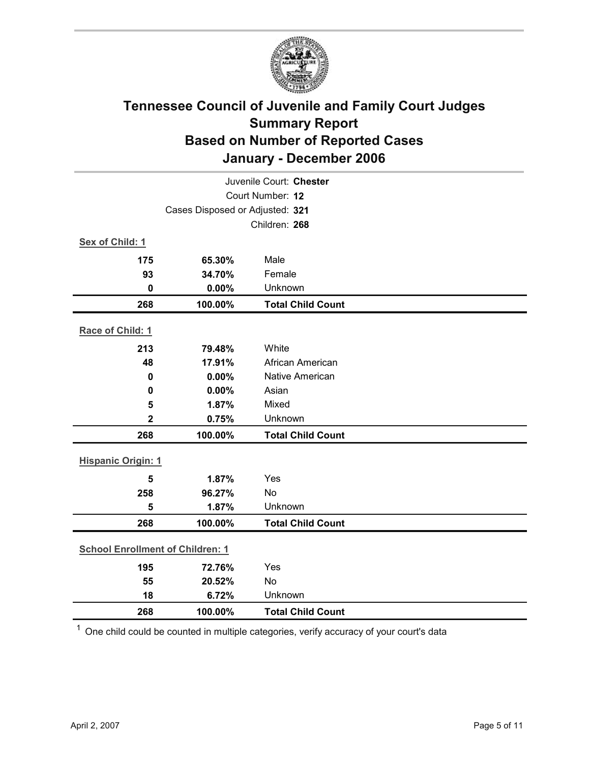

| Juvenile Court: Chester                 |                                 |                          |  |
|-----------------------------------------|---------------------------------|--------------------------|--|
| Court Number: 12                        |                                 |                          |  |
|                                         | Cases Disposed or Adjusted: 321 |                          |  |
|                                         |                                 | Children: 268            |  |
| Sex of Child: 1                         |                                 |                          |  |
| 175                                     | 65.30%                          | Male                     |  |
| 93                                      | 34.70%                          | Female                   |  |
| $\mathbf 0$                             | 0.00%                           | Unknown                  |  |
| 268                                     | 100.00%                         | <b>Total Child Count</b> |  |
| Race of Child: 1                        |                                 |                          |  |
| 213                                     | 79.48%                          | White                    |  |
| 48                                      | 17.91%                          | African American         |  |
| $\bf{0}$                                | 0.00%                           | Native American          |  |
| 0                                       | 0.00%                           | Asian                    |  |
| 5                                       | 1.87%                           | Mixed                    |  |
| 2                                       | 0.75%                           | Unknown                  |  |
| 268                                     | 100.00%                         | <b>Total Child Count</b> |  |
| <b>Hispanic Origin: 1</b>               |                                 |                          |  |
| 5                                       | 1.87%                           | Yes                      |  |
| 258                                     | 96.27%                          | No                       |  |
| 5                                       | 1.87%                           | Unknown                  |  |
| 268                                     | 100.00%                         | <b>Total Child Count</b> |  |
| <b>School Enrollment of Children: 1</b> |                                 |                          |  |
| 195                                     | 72.76%                          | Yes                      |  |
| 55                                      | 20.52%                          | No                       |  |
| 18                                      | 6.72%                           | Unknown                  |  |
| 268                                     | 100.00%                         | <b>Total Child Count</b> |  |

 $1$  One child could be counted in multiple categories, verify accuracy of your court's data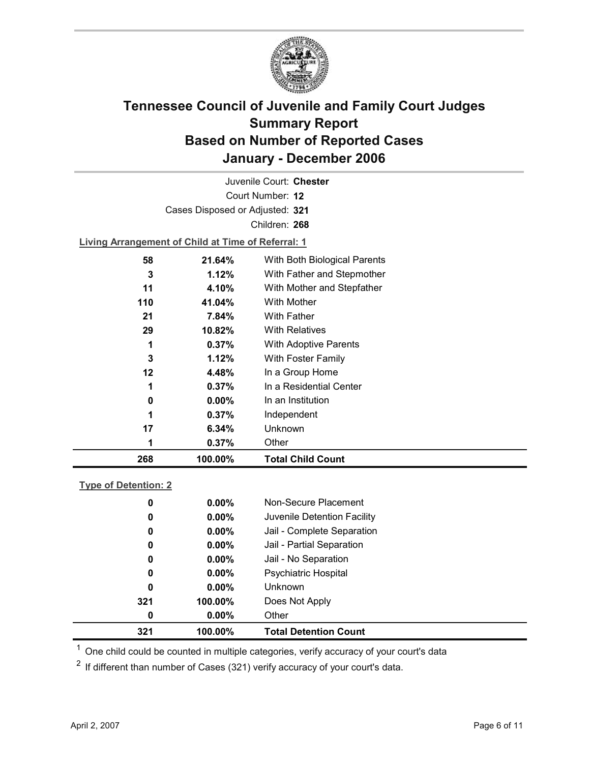

Court Number: **12** Juvenile Court: **Chester** Cases Disposed or Adjusted: **321** Children: **268 Living Arrangement of Child at Time of Referral: 1 58 21.64%** With Both Biological Parents **3 1.12%** With Father and Stepmother **11 4.10%** With Mother and Stepfather

| 268 | 100.00%  | <b>Total Child Count</b> |
|-----|----------|--------------------------|
| 1   | 0.37%    | Other                    |
| 17  | 6.34%    | Unknown                  |
| 1   | 0.37%    | Independent              |
| 0   | $0.00\%$ | In an Institution        |
| 1   | 0.37%    | In a Residential Center  |
| 12  | 4.48%    | In a Group Home          |
| 3   | 1.12%    | With Foster Family       |
| 1   | 0.37%    | With Adoptive Parents    |
| 29  | 10.82%   | <b>With Relatives</b>    |
| 21  | 7.84%    | <b>With Father</b>       |
| 110 | 41.04%   | With Mother              |
|     |          |                          |

#### **Type of Detention: 2**

| 321 | 100.00%  | <b>Total Detention Count</b> |
|-----|----------|------------------------------|
| 0   | $0.00\%$ | Other                        |
| 321 | 100.00%  | Does Not Apply               |
| 0   | $0.00\%$ | <b>Unknown</b>               |
| 0   | $0.00\%$ | Psychiatric Hospital         |
| 0   | $0.00\%$ | Jail - No Separation         |
| 0   | $0.00\%$ | Jail - Partial Separation    |
| 0   | $0.00\%$ | Jail - Complete Separation   |
| 0   | $0.00\%$ | Juvenile Detention Facility  |
| 0   | $0.00\%$ | Non-Secure Placement         |
|     |          |                              |

 $<sup>1</sup>$  One child could be counted in multiple categories, verify accuracy of your court's data</sup>

 $2$  If different than number of Cases (321) verify accuracy of your court's data.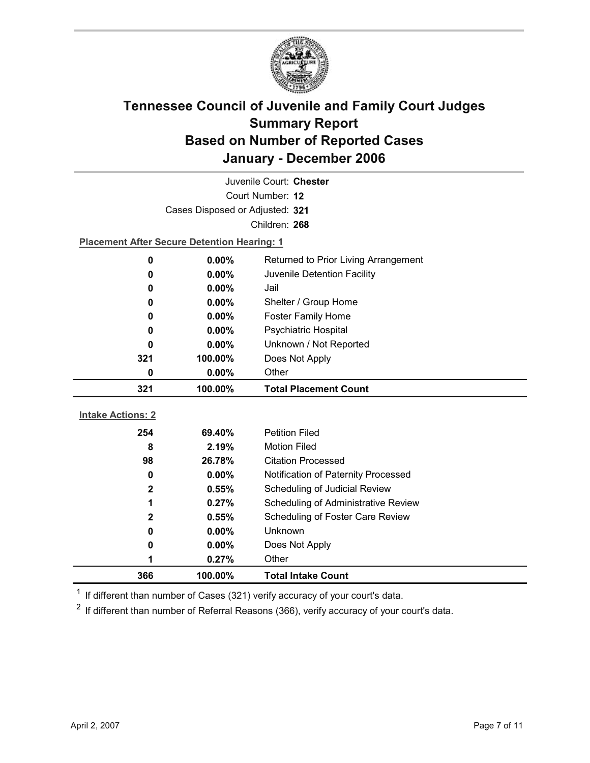

| Juvenile Court: Chester  |                                                    |                                      |  |  |
|--------------------------|----------------------------------------------------|--------------------------------------|--|--|
| Court Number: 12         |                                                    |                                      |  |  |
|                          | Cases Disposed or Adjusted: 321                    |                                      |  |  |
|                          | Children: 268                                      |                                      |  |  |
|                          | <b>Placement After Secure Detention Hearing: 1</b> |                                      |  |  |
| $\bf{0}$                 | 0.00%                                              | Returned to Prior Living Arrangement |  |  |
| 0                        | $0.00\%$                                           | Juvenile Detention Facility          |  |  |
| 0                        | 0.00%                                              | Jail                                 |  |  |
| 0                        | $0.00\%$                                           | Shelter / Group Home                 |  |  |
| 0                        | $0.00\%$                                           | <b>Foster Family Home</b>            |  |  |
| 0                        | $0.00\%$                                           | Psychiatric Hospital                 |  |  |
| 0                        | 0.00%                                              | Unknown / Not Reported               |  |  |
| 321                      | 100.00%                                            | Does Not Apply                       |  |  |
| 0                        | $0.00\%$                                           | Other                                |  |  |
|                          |                                                    |                                      |  |  |
| 321                      | 100.00%                                            | <b>Total Placement Count</b>         |  |  |
|                          |                                                    |                                      |  |  |
| <b>Intake Actions: 2</b> |                                                    |                                      |  |  |
| 254                      | 69.40%                                             | <b>Petition Filed</b>                |  |  |
| 8                        | 2.19%                                              | <b>Motion Filed</b>                  |  |  |
| 98                       | 26.78%                                             | <b>Citation Processed</b>            |  |  |
| 0                        | $0.00\%$                                           | Notification of Paternity Processed  |  |  |
| $\mathbf{2}$             | 0.55%                                              | Scheduling of Judicial Review        |  |  |
| 1                        | 0.27%                                              | Scheduling of Administrative Review  |  |  |
| $\mathbf{2}$             | 0.55%                                              | Scheduling of Foster Care Review     |  |  |
| 0                        | $0.00\%$                                           | Unknown                              |  |  |
| 0                        | $0.00\%$                                           | Does Not Apply                       |  |  |
| 1<br>366                 | 0.27%<br>100.00%                                   | Other<br><b>Total Intake Count</b>   |  |  |

 $1$  If different than number of Cases (321) verify accuracy of your court's data.

 $2$  If different than number of Referral Reasons (366), verify accuracy of your court's data.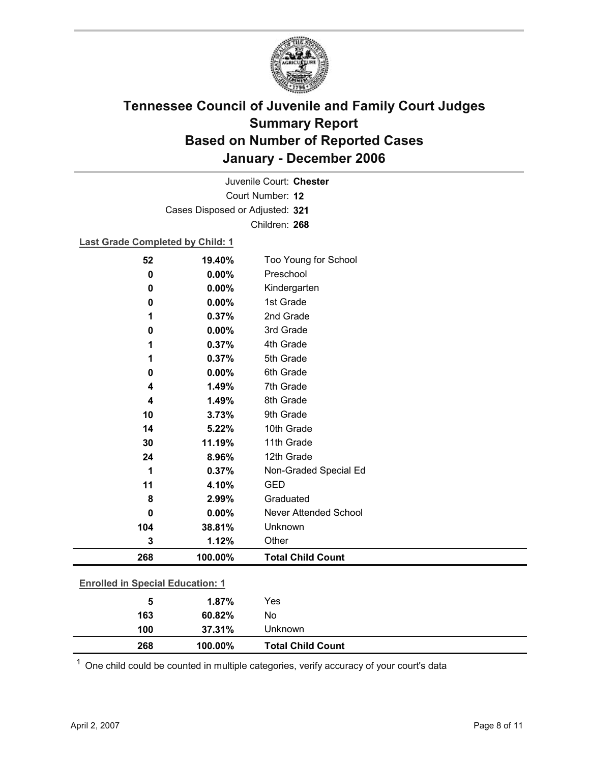

Court Number: **12** Juvenile Court: **Chester** Cases Disposed or Adjusted: **321** Children: **268**

#### **Last Grade Completed by Child: 1**

| 52                                      | 19.40%  | Too Young for School         |
|-----------------------------------------|---------|------------------------------|
| 0                                       | 0.00%   | Preschool                    |
| 0                                       | 0.00%   | Kindergarten                 |
| 0                                       | 0.00%   | 1st Grade                    |
| 1                                       | 0.37%   | 2nd Grade                    |
| 0                                       | 0.00%   | 3rd Grade                    |
| 1                                       | 0.37%   | 4th Grade                    |
| 1                                       | 0.37%   | 5th Grade                    |
| 0                                       | 0.00%   | 6th Grade                    |
| 4                                       | 1.49%   | 7th Grade                    |
| 4                                       | 1.49%   | 8th Grade                    |
| 10                                      | 3.73%   | 9th Grade                    |
| 14                                      | 5.22%   | 10th Grade                   |
| 30                                      | 11.19%  | 11th Grade                   |
| 24                                      | 8.96%   | 12th Grade                   |
| 1                                       | 0.37%   | Non-Graded Special Ed        |
| 11                                      | 4.10%   | <b>GED</b>                   |
| 8                                       | 2.99%   | Graduated                    |
| 0                                       | 0.00%   | <b>Never Attended School</b> |
| 104                                     | 38.81%  | Unknown                      |
| 3                                       | 1.12%   | Other                        |
| 268                                     | 100.00% | <b>Total Child Count</b>     |
| <b>Enrolled in Special Education: 1</b> |         |                              |
| 5                                       | 1.87%   | Yes                          |
| 163                                     | 60.82%  | No                           |
|                                         |         |                              |

 $1$  One child could be counted in multiple categories, verify accuracy of your court's data

**268 100.00% Total Child Count**

**100 37.31%** Unknown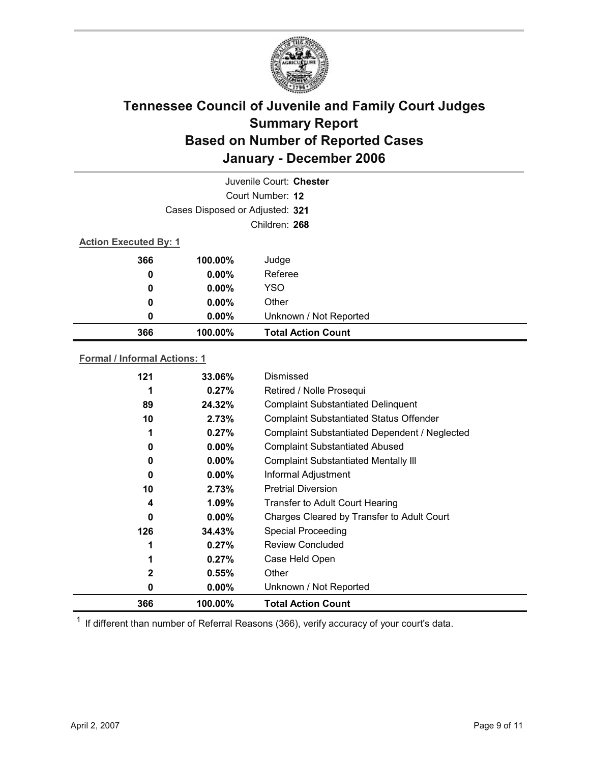

|                                     |               | Juvenile Court: Chester   |  |  |
|-------------------------------------|---------------|---------------------------|--|--|
|                                     |               | Court Number: 12          |  |  |
| Cases Disposed or Adjusted: 321     |               |                           |  |  |
|                                     | Children: 268 |                           |  |  |
| <b>Action Executed By: 1</b>        |               |                           |  |  |
| 366                                 | 100.00%       | Judge                     |  |  |
| 0                                   | $0.00\%$      | Referee                   |  |  |
| 0                                   | $0.00\%$      | <b>YSO</b>                |  |  |
| 0                                   | $0.00\%$      | Other                     |  |  |
| 0                                   | 0.00%         | Unknown / Not Reported    |  |  |
| 366                                 | 100.00%       | <b>Total Action Count</b> |  |  |
| <b>Formal / Informal Actions: 1</b> |               |                           |  |  |
| 121                                 | 33.06%        | Dismissed                 |  |  |

| 121 | 33.06%   | Dismissed                                      |
|-----|----------|------------------------------------------------|
| 1   | $0.27\%$ | Retired / Nolle Prosequi                       |
| 89  | 24.32%   | <b>Complaint Substantiated Delinquent</b>      |
| 10  | 2.73%    | <b>Complaint Substantiated Status Offender</b> |
| 1   | $0.27\%$ | Complaint Substantiated Dependent / Neglected  |
| 0   | $0.00\%$ | <b>Complaint Substantiated Abused</b>          |
| 0   | $0.00\%$ | <b>Complaint Substantiated Mentally III</b>    |
| 0   | $0.00\%$ | Informal Adjustment                            |
| 10  | 2.73%    | <b>Pretrial Diversion</b>                      |
| 4   | $1.09\%$ | <b>Transfer to Adult Court Hearing</b>         |
| 0   | $0.00\%$ | Charges Cleared by Transfer to Adult Court     |
| 126 | 34.43%   | <b>Special Proceeding</b>                      |
|     | 0.27%    | <b>Review Concluded</b>                        |
|     | $0.27\%$ | Case Held Open                                 |
| 2   | $0.55\%$ | Other                                          |
| 0   | $0.00\%$ | Unknown / Not Reported                         |
| 366 | 100.00%  | <b>Total Action Count</b>                      |

 $1$  If different than number of Referral Reasons (366), verify accuracy of your court's data.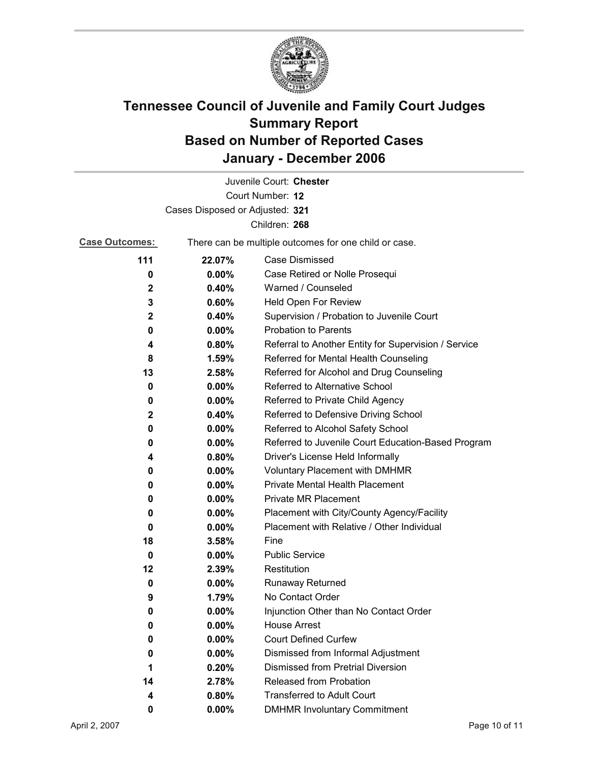

| Juvenile Court: Chester         |          |                                                       |  |  |
|---------------------------------|----------|-------------------------------------------------------|--|--|
| Court Number: 12                |          |                                                       |  |  |
| Cases Disposed or Adjusted: 321 |          |                                                       |  |  |
|                                 |          | Children: 268                                         |  |  |
| <b>Case Outcomes:</b>           |          | There can be multiple outcomes for one child or case. |  |  |
| 111                             | 22.07%   | <b>Case Dismissed</b>                                 |  |  |
| 0                               | 0.00%    | Case Retired or Nolle Prosequi                        |  |  |
| $\mathbf 2$                     | 0.40%    | Warned / Counseled                                    |  |  |
| 3                               | 0.60%    | Held Open For Review                                  |  |  |
| 2                               | 0.40%    | Supervision / Probation to Juvenile Court             |  |  |
| 0                               | $0.00\%$ | <b>Probation to Parents</b>                           |  |  |
| 4                               | 0.80%    | Referral to Another Entity for Supervision / Service  |  |  |
| 8                               | 1.59%    | Referred for Mental Health Counseling                 |  |  |
| 13                              | 2.58%    | Referred for Alcohol and Drug Counseling              |  |  |
| $\bf{0}$                        | 0.00%    | Referred to Alternative School                        |  |  |
| 0                               | $0.00\%$ | Referred to Private Child Agency                      |  |  |
| 2                               | 0.40%    | Referred to Defensive Driving School                  |  |  |
| 0                               | $0.00\%$ | Referred to Alcohol Safety School                     |  |  |
| 0                               | 0.00%    | Referred to Juvenile Court Education-Based Program    |  |  |
| 4                               | 0.80%    | Driver's License Held Informally                      |  |  |
| 0                               | $0.00\%$ | <b>Voluntary Placement with DMHMR</b>                 |  |  |
| 0                               | 0.00%    | <b>Private Mental Health Placement</b>                |  |  |
| 0                               | $0.00\%$ | <b>Private MR Placement</b>                           |  |  |
| 0                               | $0.00\%$ | Placement with City/County Agency/Facility            |  |  |
| 0                               | $0.00\%$ | Placement with Relative / Other Individual            |  |  |
| 18                              | 3.58%    | Fine                                                  |  |  |
| 0                               | $0.00\%$ | <b>Public Service</b>                                 |  |  |
| 12                              | 2.39%    | Restitution                                           |  |  |
| 0                               | 0.00%    | Runaway Returned                                      |  |  |
| 9                               | 1.79%    | No Contact Order                                      |  |  |
| 0                               | 0.00%    | Injunction Other than No Contact Order                |  |  |
| 0                               | 0.00%    | <b>House Arrest</b>                                   |  |  |
| 0                               | $0.00\%$ | <b>Court Defined Curfew</b>                           |  |  |
| 0                               | $0.00\%$ | Dismissed from Informal Adjustment                    |  |  |
| 1                               | 0.20%    | <b>Dismissed from Pretrial Diversion</b>              |  |  |
| 14                              | 2.78%    | Released from Probation                               |  |  |
| 4                               | 0.80%    | <b>Transferred to Adult Court</b>                     |  |  |
| 0                               | 0.00%    | <b>DMHMR Involuntary Commitment</b>                   |  |  |